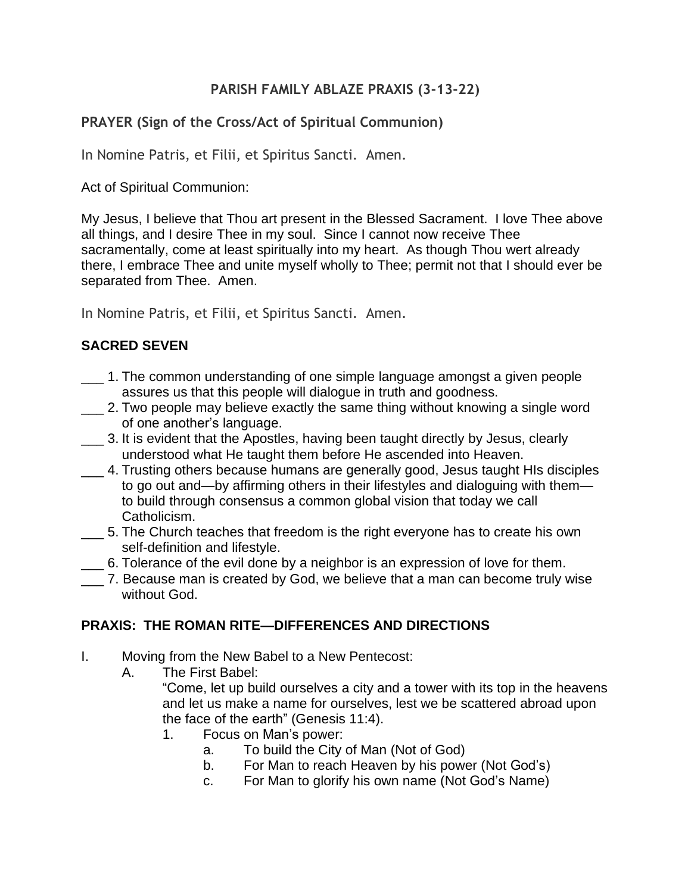### **PARISH FAMILY ABLAZE PRAXIS (3-13-22)**

## **PRAYER (Sign of the Cross/Act of Spiritual Communion)**

In Nomine Patris, et Filii, et Spiritus Sancti. Amen.

Act of Spiritual Communion:

My Jesus, I believe that Thou art present in the Blessed Sacrament. I love Thee above all things, and I desire Thee in my soul. Since I cannot now receive Thee sacramentally, come at least spiritually into my heart. As though Thou wert already there, I embrace Thee and unite myself wholly to Thee; permit not that I should ever be separated from Thee. Amen.

In Nomine Patris, et Filii, et Spiritus Sancti. Amen.

## **SACRED SEVEN**

- \_\_\_ 1. The common understanding of one simple language amongst a given people assures us that this people will dialogue in truth and goodness.
- \_\_\_ 2. Two people may believe exactly the same thing without knowing a single word of one another's language.
- \_\_\_ 3. It is evident that the Apostles, having been taught directly by Jesus, clearly understood what He taught them before He ascended into Heaven.
- \_\_\_ 4. Trusting others because humans are generally good, Jesus taught HIs disciples to go out and—by affirming others in their lifestyles and dialoguing with them to build through consensus a common global vision that today we call Catholicism.
- \_\_\_ 5. The Church teaches that freedom is the right everyone has to create his own self-definition and lifestyle.
- \_\_\_ 6. Tolerance of the evil done by a neighbor is an expression of love for them.
- \_\_\_ 7. Because man is created by God, we believe that a man can become truly wise without God.

#### **PRAXIS: THE ROMAN RITE—DIFFERENCES AND DIRECTIONS**

- I. Moving from the New Babel to a New Pentecost:
	- A. The First Babel:

"Come, let up build ourselves a city and a tower with its top in the heavens and let us make a name for ourselves, lest we be scattered abroad upon the face of the earth" (Genesis 11:4).

- 1. Focus on Man's power:
	- a. To build the City of Man (Not of God)
	- b. For Man to reach Heaven by his power (Not God's)
	- c. For Man to glorify his own name (Not God's Name)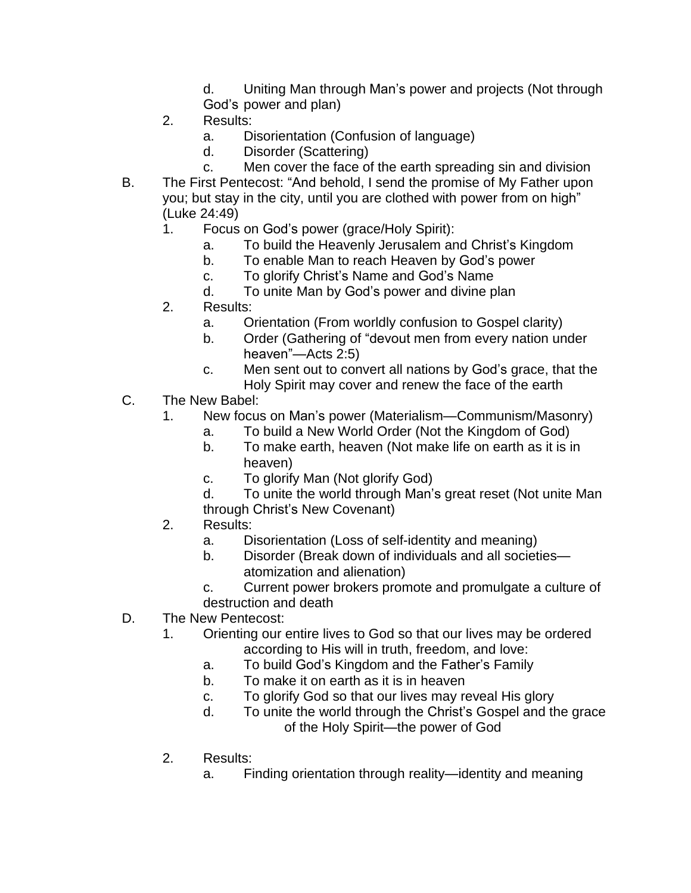- d. Uniting Man through Man's power and projects (Not through God's power and plan)
- 2. Results:
	- a. Disorientation (Confusion of language)
	- d. Disorder (Scattering)
	- c. Men cover the face of the earth spreading sin and division
- B. The First Pentecost: "And behold, I send the promise of My Father upon you; but stay in the city, until you are clothed with power from on high" (Luke 24:49)
	- 1. Focus on God's power (grace/Holy Spirit):
		- a. To build the Heavenly Jerusalem and Christ's Kingdom
		- b. To enable Man to reach Heaven by God's power
		- c. To glorify Christ's Name and God's Name
		- d. To unite Man by God's power and divine plan
	- 2. Results:
		- a. Orientation (From worldly confusion to Gospel clarity)
		- b. Order (Gathering of "devout men from every nation under heaven"—Acts 2:5)
		- c. Men sent out to convert all nations by God's grace, that the Holy Spirit may cover and renew the face of the earth
- C. The New Babel:
	- 1. New focus on Man's power (Materialism—Communism/Masonry)
		- a. To build a New World Order (Not the Kingdom of God)
		- b. To make earth, heaven (Not make life on earth as it is in heaven)
		- c. To glorify Man (Not glorify God)
		- d. To unite the world through Man's great reset (Not unite Man through Christ's New Covenant)
	- 2. Results:
		- a. Disorientation (Loss of self-identity and meaning)
		- b. Disorder (Break down of individuals and all societies atomization and alienation)
		- c. Current power brokers promote and promulgate a culture of destruction and death
- D. The New Pentecost:
	- 1. Orienting our entire lives to God so that our lives may be ordered according to His will in truth, freedom, and love:
		- a. To build God's Kingdom and the Father's Family
		- b. To make it on earth as it is in heaven
		- c. To glorify God so that our lives may reveal His glory
		- d. To unite the world through the Christ's Gospel and the grace of the Holy Spirit—the power of God
	- 2. Results:
		- a. Finding orientation through reality—identity and meaning